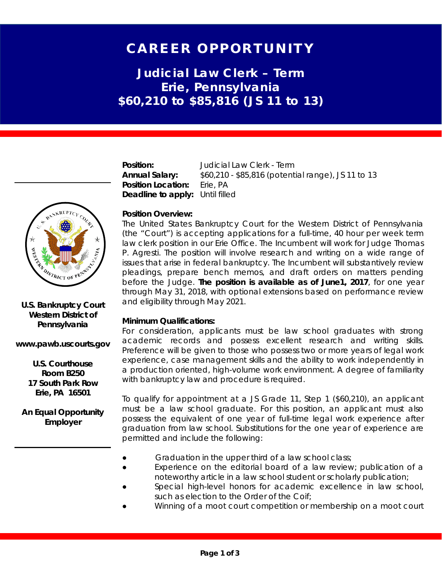# CAREER OPPORTUNITY

**Judicial Law Clerk – Term Erie, Pennsylvania \$60,210 to \$85,816 (JS 11 to 13)**

**Position:** Judicial Law Clerk - Term **Annual Salary:** \$60,210 - \$85,816 (potential range), JS 11 to 13 **Position Location:** Erie, PA **Deadline to apply:** Until filled

## **Position Overview:**

The United States Bankruptcy Court for the Western District of Pennsylvania (the "Court") is accepting applications for a full-time, 40 hour per week term law clerk position in our Erie Office. The Incumbent will work for Judge Thomas P. Agresti. The position will involve research and writing on a wide range of issues that arise in federal bankruptcy. The Incumbent will substantively review pleadings, prepare bench memos, and draft orders on matters pending before the Judge. **The position is available as of June1, 2017**, for one year through May 31, 2018, with optional extensions based on performance review and eligibility through May 2021.

#### **Minimum Qualifications:**

For consideration, applicants must be law school graduates with strong academic records and possess excellent research and writing skills. Preference will be given to those who possess two or more years of legal work experience, case management skills and the ability to work independently in a production oriented, high-volume work environment. A degree of familiarity with bankruptcy law and procedure is required.

To qualify for appointment at a JS Grade 11, Step 1 (\$60,210), an applicant must be a law school graduate. For this position, an applicant must also possess the equivalent of one year of full-time legal work experience after graduation from law school. Substitutions for the one year of experience are permitted and include the following:

- Graduation in the upper third of a law school class;
- Experience on the editorial board of a law review; publication of a noteworthy article in a law school student or scholarly publication;
- Special high-level honors for academic excellence in law school, such as election to the Order of the Coif;
- Winning of a moot court competition or membership on a moot court



### **U.S. Bankruptcy Court Western District of Pennsylvania**

#### **www.pawb.uscourts.gov**

**U.S. Courthouse Room B250 17 South Park Row Erie, PA 16501**

**An Equal Opportunity Employer**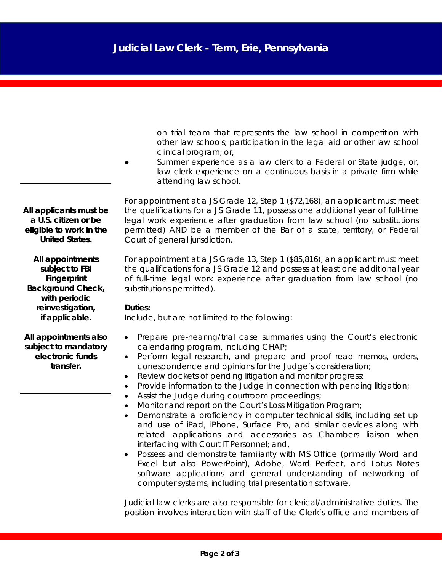on trial team that represents the law school in competition with other law schools; participation in the legal aid or other law school clinical program; or,

Summer experience as a law clerk to a Federal or State judge, or, law clerk experience on a continuous basis in a private firm while attending law school.

For appointment at a JS Grade 12, Step 1 (\$72,168), an applicant must meet the qualifications for a JS Grade 11, possess one additional year of full-time legal work experience after graduation from law school (no substitutions permitted) AND be a member of the Bar of a state, territory, or Federal Court of general jurisdiction.

For appointment at a JS Grade 13, Step 1 (\$85,816), an applicant must meet the qualifications for a JS Grade 12 and possess at least one additional year of full-time legal work experience after graduation from law school (no substitutions permitted).

#### **Duties:**

Include, but are not limited to the following:

- Prepare pre-hearing/trial case summaries using the Court's electronic calendaring program, including CHAP;
- Perform legal research, and prepare and proof read memos, orders, correspondence and opinions for the Judge's consideration;
- Review dockets of pending litigation and monitor progress;
- Provide information to the Judge in connection with pending litigation;
- Assist the Judge during courtroom proceedings;
- Monitor and report on the Court's Loss Mitigation Program;
- Demonstrate a proficiency in computer technical skills, including set up and use of iPad, iPhone, Surface Pro, and similar devices along with related applications and accessories as Chambers liaison when interfacing with Court IT Personnel; and,
- Possess and demonstrate familiarity with MS Office (primarily Word and Excel but also PowerPoint), Adobe, Word Perfect, and Lotus Notes software applications and general understanding of networking of computer systems, including trial presentation software.

Judicial law clerks are also responsible for clerical/administrative duties. The position involves interaction with staff of the Clerk's office and members of

*All applicants must be a U.S. citizen or be eligible to work in the United States.*

*All appointments subject to FBI Fingerprint Background Check, with periodic reinvestigation, if applicable.*

*All appointments also subject to mandatory electronic funds transfer.*